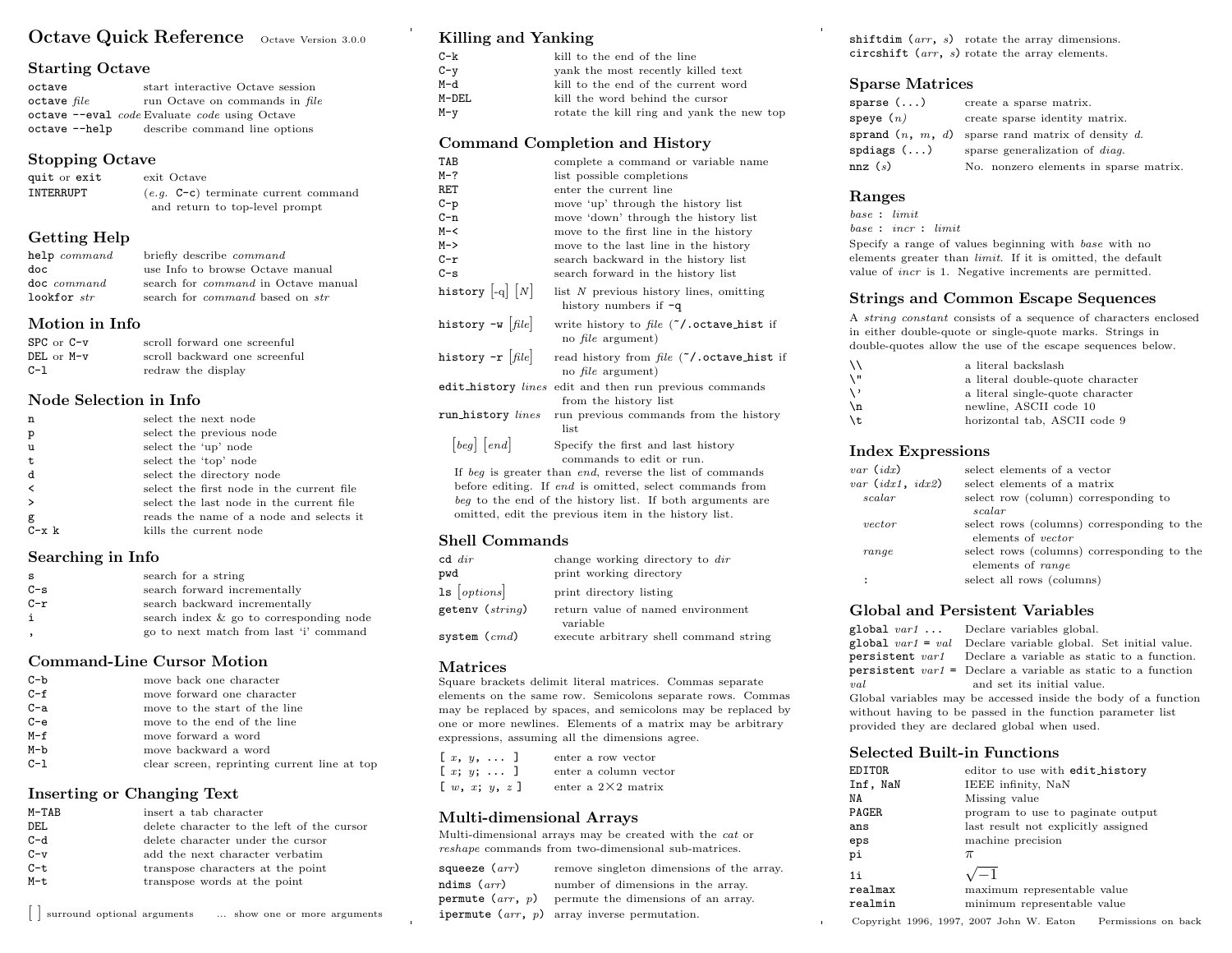# Octave Quick Reference Octave Version 3.0.0

#### Starting Octave

| octave          |               | start interactive Octave session              |
|-----------------|---------------|-----------------------------------------------|
| $octave$ $file$ |               | run Octave on commands in file                |
|                 |               | octave --eval code Evaluate code using Octave |
|                 | octave --help | describe command line options                 |

#### Stopping Octave

| quit or exit | exit Octave                            |
|--------------|----------------------------------------|
| INTERRUPT    | $(e,q, C-c)$ terminate current command |
|              | and return to top-level prompt         |

# Getting Help

| help command  | briefly describe <i>command</i>               |
|---------------|-----------------------------------------------|
| doc           | use Info to browse Octave manual              |
| doc command   | search for <i>command</i> in Octave manual    |
| lookfor $str$ | search for <i>command</i> based on <i>str</i> |

#### Motion in Info

| $SPC$ or $C-v$ | scroll forward one screenful  |
|----------------|-------------------------------|
| $DEL$ or $M-v$ | scroll backward one screenful |
| $C-1$          | redraw the display            |

#### Node Selection in Info

| n             | select the next node                      |
|---------------|-------------------------------------------|
| $\mathbf{p}$  | select the previous node                  |
| $\mathbf{u}$  | select the 'up' node                      |
| $\mathbf t$   | select the 'top' node                     |
| d             | select the directory node                 |
| $\,<\,$       | select the first node in the current file |
| $\rightarrow$ | select the last node in the current file  |
| g             | reads the name of a node and selects it   |
| $C - x k$     | kills the current node                    |

#### Searching in Info

| s     | search for a string                     |
|-------|-----------------------------------------|
| $C-s$ | search forward incrementally            |
| $C-r$ | search backward incrementally           |
| i     | search index & go to corresponding node |
|       | go to next match from last 'i' command  |

# Command-Line Cursor Motion

| C-b     | move back one character                      |
|---------|----------------------------------------------|
| $C - f$ | move forward one character                   |
| $C-a$   | move to the start of the line                |
| $C - e$ | move to the end of the line                  |
| $M-f$   | move forward a word                          |
| $M-b$   | move backward a word                         |
| $C-1$   | clear screen, reprinting current line at top |

#### Inserting or Changing Text

| M-TAB | insert a tab character                     |
|-------|--------------------------------------------|
| DEL   | delete character to the left of the cursor |
| $C-d$ | delete character under the cursor          |
| $C-v$ | add the next character verbatim            |
| $C-t$ | transpose characters at the point          |
| M-t   | transpose words at the point               |
|       |                                            |

Killing and Yanking

| $C-k$   | kill to the end of the line               |
|---------|-------------------------------------------|
| $C - v$ | yank the most recently killed text        |
| M-d     | kill to the end of the current word       |
| M-DEL   | kill the word behind the cursor           |
| M-v     | rotate the kill ring and yank the new top |

#### Command Completion and History

| TAB                                                                                | complete a command or variable name                                             |  |  |  |
|------------------------------------------------------------------------------------|---------------------------------------------------------------------------------|--|--|--|
| M-?                                                                                | list possible completions                                                       |  |  |  |
| RET                                                                                | enter the current line                                                          |  |  |  |
| C-p                                                                                | move 'up' through the history list                                              |  |  |  |
| C-n                                                                                | move 'down' through the history list                                            |  |  |  |
| M-<                                                                                | move to the first line in the history                                           |  |  |  |
| M->                                                                                | move to the last line in the history                                            |  |  |  |
| C-r                                                                                | search backward in the history list                                             |  |  |  |
| C-s                                                                                | search forward in the history list                                              |  |  |  |
| history $\left[\begin{smallmatrix}\text{-q}\end{smallmatrix}\right]\left[N\right]$ | list N previous history lines, omitting<br>history numbers if $-q$              |  |  |  |
| history -w $\left  \mathit{file} \right $                                          | write history to file $(7)$ . octave_hist if<br>no <i>file</i> argument)        |  |  |  |
| history -r $[\mathit{file}]$                                                       | read history from file ("/.octave_hist if<br>no <i>file</i> argument)           |  |  |  |
|                                                                                    | edit_history lines edit and then run previous commands<br>from the history list |  |  |  |
| run_history <i>lines</i>                                                           | run previous commands from the history<br>list                                  |  |  |  |
| [beg] [end]                                                                        | Specify the first and last history                                              |  |  |  |
|                                                                                    | commands to edit or run.                                                        |  |  |  |
|                                                                                    | If beg is greater than end, reverse the list of commands                        |  |  |  |
|                                                                                    | before editing. If end is omitted, select commands from                         |  |  |  |
| beg to the end of the history list. If both arguments are                          |                                                                                 |  |  |  |
| omitted, edit the previous item in the history list.                               |                                                                                 |  |  |  |

# Shell Commands

| $cd \ dir$<br>pwd   | change working directory to dir<br>print working directory |
|---------------------|------------------------------------------------------------|
| $1s$ [options]      | print directory listing                                    |
| getenv ( $string$ ) | return value of named environment<br>variable              |
| system ( $cmd)$     | execute arbitrary shell command string                     |

# Matrices

Square brackets delimit literal matrices. Commas separate elements on the same row. Semicolons separate rows. Commas may be replaced by spaces, and semicolons may be replaced by one or more newlines. Elements of a matrix may be arbitrary expressions, assuming all the dimensions agree.

|  | $[x, y, \ldots]$                                      |  | enter a row vector         |
|--|-------------------------------------------------------|--|----------------------------|
|  | $[x; y; \dots]$                                       |  | enter a column vector      |
|  | $\left[\begin{array}{ll}w, x; y, z\end{array}\right]$ |  | enter a $2\times 2$ matrix |

# Multi-dimensional Arrays

Multi-dimensional arrays may be created with the cat or reshape commands from two-dimensional sub-matrices.

| squeeze $(arr)$ | remove singleton dimensions of the array.                     |
|-----------------|---------------------------------------------------------------|
| ndims $(arr)$   | number of dimensions in the array.                            |
|                 | <b>permute</b> $(arr, p)$ permute the dimensions of an array. |
|                 | <b>ipermute</b> $(\text{arr}, p)$ array inverse permutation.  |

shiftdim  $(arr, s)$  rotate the array dimensions. circshift (arr, s) rotate the array elements.

# Sparse Matrices

| sparse ()           | create a sparse matrix.                |
|---------------------|----------------------------------------|
| ${\tt speye}$ $(n)$ | create sparse identity matrix.         |
| sprand $(n, m, d)$  | sparse rand matrix of density $d$ .    |
| spdiags()           | sparse generalization of <i>diag</i> . |
| nnz(s)              | No. nonzero elements in sparse matrix. |

# Ranges

base : limit base : incr : limit

Specify a range of values beginning with base with no elements greater than limit. If it is omitted, the default value of incr is 1. Negative increments are permitted.

# Strings and Common Escape Sequences

A string constant consists of a sequence of characters enclosed in either double-quote or single-quote marks. Strings in double-quotes allow the use of the escape sequences below.

| ۱۱  | a literal backslash              |
|-----|----------------------------------|
| \ " | a literal double-quote character |
| ر / | a literal single-quote character |
| ۱n  | newline, ASCII code 10           |
| \t  | horizontal tab, ASCII code 9     |
|     |                                  |

#### Index Expressions

| $var$ $(idx)$      | select elements of a vector                |
|--------------------|--------------------------------------------|
| var $(idx1, idx2)$ | select elements of a matrix                |
| scalar             | select row (column) corresponding to       |
|                    | scalar                                     |
| vector             | select rows (columns) corresponding to the |
|                    | elements of <i>vector</i>                  |
| range              | select rows (columns) corresponding to the |
|                    | elements of range                          |
|                    | select all rows (columns)                  |
|                    |                                            |

# Global and Persistent Variables

|                                                            | global $var1$ Declare variables global.                               |  |
|------------------------------------------------------------|-----------------------------------------------------------------------|--|
|                                                            | global $var1 = val$ Declare variable global. Set initial value.       |  |
|                                                            | <b>persistent</b> var1 Declare a variable as static to a function.    |  |
|                                                            | <b>persistent</b> $var1 =$ Declare a variable as static to a function |  |
| val                                                        | and set its initial value.                                            |  |
|                                                            | Global variables may be accessed inside the body of a function        |  |
| without having to be passed in the function parameter list |                                                                       |  |
|                                                            | provided they are declared global when used.                          |  |

#### Selected Built-in Functions

| EDITOR.  | editor to use with edit_history     |
|----------|-------------------------------------|
| Inf, NaN | IEEE infinity, NaN                  |
| NA       | Missing value                       |
| PAGER    | program to use to paginate output   |
| ans      | last result not explicitly assigned |
| eps      | machine precision                   |
| pi       | $\pi$                               |
| 11       |                                     |
| realmax  | maximum representable value         |
| realmin  | minimum representable value         |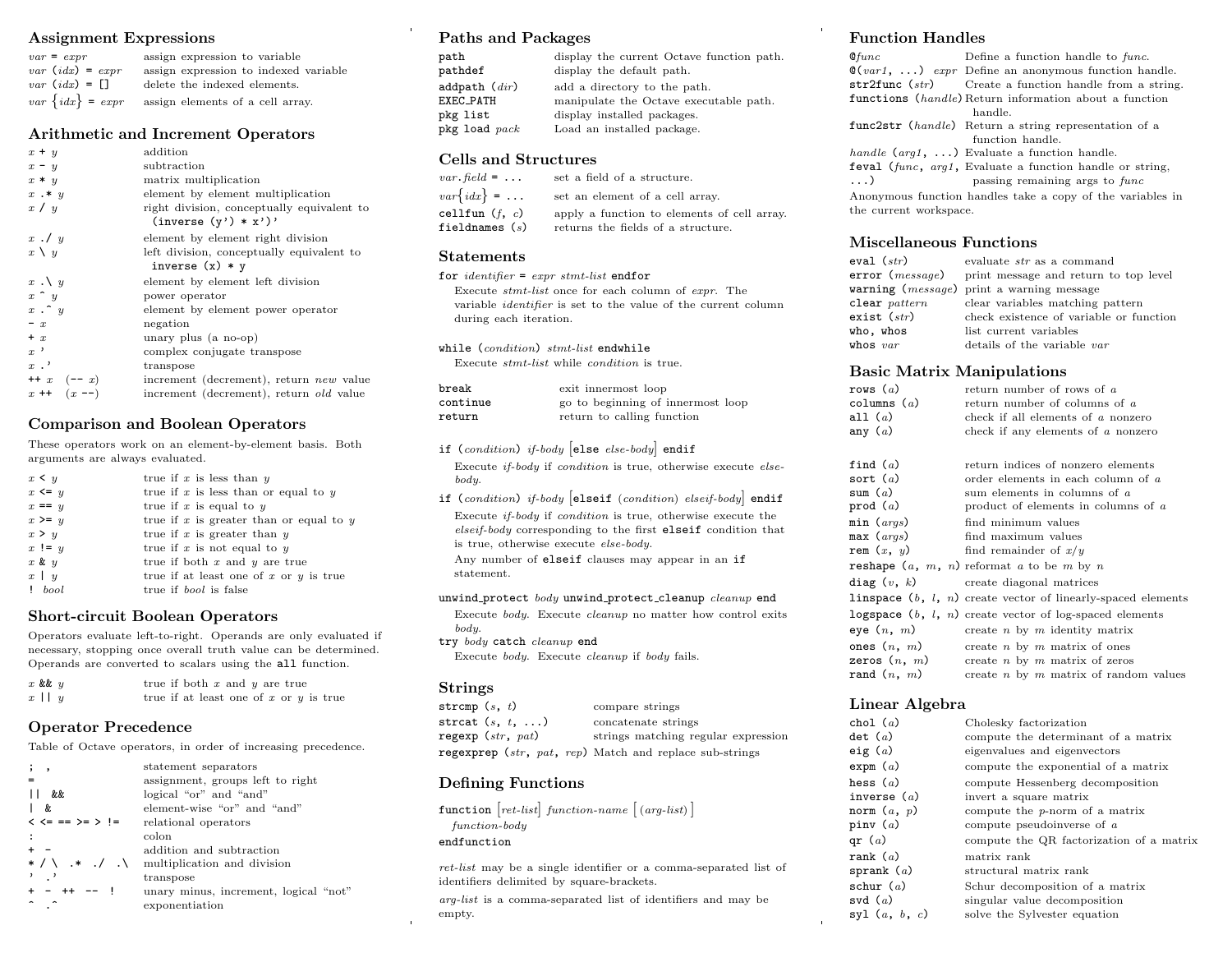# Assignment Expressions

| $var = expr$          | assign expression to variable         |
|-----------------------|---------------------------------------|
| $var$ $(idx) = expr$  | assign expression to indexed variable |
| $var$ $(idx) = \Box$  | delete the indexed elements.          |
| $var\ \{idx\} = expr$ | assign elements of a cell array.      |

#### Arithmetic and Increment Operators

| $x + y$           | addition                                                             |
|-------------------|----------------------------------------------------------------------|
| $x - y$           | subtraction                                                          |
| $x * y$           | matrix multiplication                                                |
| $x \cdot * y$     | element by element multiplication                                    |
| x / y             | right division, conceptually equivalent to<br>$(inverse (y') * x')'$ |
| $x \cdot y$       | element by element right division                                    |
| $x \setminus y$   | left division, conceptually equivalent to<br>inverse $(x) * y$       |
| $x \cdot \vee y$  | element by element left division                                     |
| $x \uparrow y$    | power operator                                                       |
| $x \cdot \hat{y}$ | element by element power operator                                    |
| $- x$             | negation                                                             |
| $+ x$             | unary plus (a no-op)                                                 |
| $x$ ,             | complex conjugate transpose                                          |
| $x$ .'            | transpose                                                            |
| $++ x (-x)$       | increment (decrement), return new value                              |
| $x + (x - )$      | increment (decrement), return <i>old</i> value                       |

# Comparison and Boolean Operators

These operators work on an element-by-element basis. Both arguments are always evaluated.

| $x \leq y$ | true if x is less than $y$                  |
|------------|---------------------------------------------|
| $x \leq y$ | true if $x$ is less than or equal to $y$    |
| $x == y$   | true if x is equal to $y$                   |
| $x \geq y$ | true if $x$ is greater than or equal to $y$ |
| x > y      | true if $x$ is greater than $y$             |
| $x := y$   | true if $x$ is not equal to $y$             |
| $x \& y$   | true if both $x$ and $y$ are true           |
| $x \mid y$ | true if at least one of x or $y$ is true    |
| $!$ bool   | true if <i>bool</i> is false                |

# Short-circuit Boolean Operators

Operators evaluate left-to-right. Operands are only evaluated if necessary, stopping once overall truth value can be determined. Operands are converted to scalars using the all function.

| $x$ & $y$  | true if both $x$ and $y$ are true          |  |
|------------|--------------------------------------------|--|
| $x \mid y$ | true if at least one of $x$ or $y$ is true |  |

# Operator Precedence

Table of Octave operators, in order of increasing precedence.

| $\cdot$ ,                   | statement separators                  |
|-----------------------------|---------------------------------------|
|                             | assignment, groups left to right      |
| &&                          | logical "or" and "and"                |
| &.                          | element-wise "or" and "and"           |
| $\lt \lt = == \gt = \gt !=$ | relational operators                  |
|                             | colon                                 |
|                             | addition and subtraction              |
| $*$ / \ $*$ . / . \         | multiplication and division           |
|                             | transpose                             |
| $+ - +$                     | unary minus, increment, logical "not" |
|                             | exponentiation                        |

# Paths and Packages

| path                                             | display the current Octave function path. |
|--------------------------------------------------|-------------------------------------------|
| pathdef                                          | display the default path.                 |
| addpath $\it (dir)$                              | add a directory to the path.              |
| EXEC_PATH                                        | manipulate the Octave executable path.    |
| pkg list                                         | display installed packages.               |
| $\normalfont{\texttt{pkg}}$ load $\textit{pack}$ | Load an installed package.                |

#### Cells and Structures

| $var\{idx\}$ =<br>set an element of a cell array.<br>cellfun $(f, c)$<br>fieldnames $(s)$<br>returns the fields of a structure. | $var$ . field = $\dots$ | set a field of a structure.                 |
|---------------------------------------------------------------------------------------------------------------------------------|-------------------------|---------------------------------------------|
|                                                                                                                                 |                         |                                             |
|                                                                                                                                 |                         | apply a function to elements of cell array. |

#### Statements

for  $identityier = expr \,stmt-list \, endfor$ Execute stmt-list once for each column of expr. The variable identifier is set to the value of the current column during each iteration.

while (condition) stmt-list endwhile

Execute stmt-list while condition is true.

| break    | exit innermost loop               |
|----------|-----------------------------------|
| continue | go to beginning of innermost loop |
| return   | return to calling function        |

#### if (condition) if-body else else-body endif

Execute if-body if condition is true, otherwise execute elsebody.

if (condition) if-body [elseif (condition) elseif-body] endif Execute if-body if condition is true, otherwise execute the elseif-body corresponding to the first elseif condition that is true, otherwise execute else-body.

Any number of elseif clauses may appear in an if statement.

#### unwind\_protect body unwind\_protect\_cleanup cleanup end

Execute body. Execute cleanup no matter how control exits body.

try body catch cleanup end

Execute body. Execute cleanup if body fails.

#### Strings

| strcmp $(s, t)$         | compare strings                                         |
|-------------------------|---------------------------------------------------------|
| strcat $(s, t, \ldots)$ | concatenate strings                                     |
| regexp $(str, pat)$     | strings matching regular expression                     |
|                         | regexprep (str, pat, rep) Match and replace sub-strings |

# Defining Functions

|                  | function $[ret-list] function-name [(arg-list)]$ |  |
|------------------|--------------------------------------------------|--|
| $function$ -body |                                                  |  |
| endfunction      |                                                  |  |
|                  |                                                  |  |

ret-list may be a single identifier or a comma-separated list of identifiers delimited by square-brackets.

arg-list is a comma-separated list of identifiers and may be empty.

# Function Handles

| $Q$ func               | Define a function handle to func.                                     |  |
|------------------------|-----------------------------------------------------------------------|--|
|                        | $\mathcal{Q}(var1, \ldots)$ expr Define an anonymous function handle. |  |
|                        | $str2func (str)$ Create a function handle from a string.              |  |
|                        | functions (handle) Return information about a function                |  |
|                        | handle.                                                               |  |
|                        | func2str (handle) Return a string representation of a                 |  |
| function handle.       |                                                                       |  |
|                        | handle $(\text{arg1}, \ldots)$ Evaluate a function handle.            |  |
|                        | feval (func, arg1, Evaluate a function handle or string,              |  |
| $\ldots$               | passing remaining args to func                                        |  |
|                        | Anonymous function handles take a copy of the variables in            |  |
| the current workspace. |                                                                       |  |
|                        |                                                                       |  |

# Miscellaneous Functions

| eval ( $str)$             | evaluate str as a command                              |
|---------------------------|--------------------------------------------------------|
|                           | $error(message)$ print message and return to top level |
|                           | warning $(message)$ print a warning message            |
| $\texttt{clear}\ pattern$ | clear variables matching pattern                       |
| exist $(\textit{str})$    | check existence of variable or function                |
| who, whos                 | list current variables                                 |
| whos $var$                | details of the variable var                            |
|                           |                                                        |

# Basic Matrix Manipulations

| rows (a)<br>columns ( $a$ )<br>all ( $a$ )<br>any ( $a$ ) | return number of rows of a<br>return number of columns of a<br>check if all elements of a nonzero<br>check if any elements of $a$ nonzero |
|-----------------------------------------------------------|-------------------------------------------------------------------------------------------------------------------------------------------|
| find (a)                                                  | return indices of nonzero elements                                                                                                        |
| sort (a)                                                  | order elements in each column of a                                                                                                        |
| sum ( $a$ )                                               | sum elements in columns of a                                                                                                              |
| prod ( $a$ )                                              | product of elements in columns of $a$                                                                                                     |
| min ( $\mathit{args})$                                    | find minimum values                                                                                                                       |
| max ( $args$ )                                            | find maximum values                                                                                                                       |
| rem $(x, y)$                                              | find remainder of $x/y$                                                                                                                   |
|                                                           | <b>reshape</b> $(a, m, n)$ reformat $a$ to be $m$ by $n$                                                                                  |
|                                                           | $diag(v, k)$ create diagonal matrices                                                                                                     |
|                                                           | linspace $(b, l, n)$ create vector of linearly-spaced elements                                                                            |
|                                                           | logspace $(b, l, n)$ create vector of log-spaced elements                                                                                 |
| eye $(n, m)$                                              | create $n \times m$ identity matrix                                                                                                       |
| ones $(n, m)$                                             | create $n$ by $m$ matrix of ones                                                                                                          |
| zeros $(n, m)$                                            | create $n \times m$ matrix of zeros                                                                                                       |
| rand(n, m)                                                | create $n$ by $m$ matrix of random values                                                                                                 |
|                                                           |                                                                                                                                           |

# Linear Algebra

| chol $(a)$                        | Cholesky factorization                   |
|-----------------------------------|------------------------------------------|
| $\det$ (a)                        | compute the determinant of a matrix      |
| eig ( $a$ )                       | eigenvalues and eigenvectors             |
| expm (a)                          | compute the exponential of a matrix      |
| hess ( $a$ )                      | compute Hessenberg decomposition         |
| inverse $(a)$                     | invert a square matrix                   |
| norm $(a, p)$                     | compute the p-norm of a matrix           |
| pinv ( $a$ )                      | compute pseudoinverse of $a$             |
| qr ( $a$ )                        | compute the QR factorization of a matrix |
| $\texttt{rank} \;\, \textit{(a)}$ | matrix rank                              |
| sprank ( $a$ )                    | structural matrix rank                   |
| schur ( $a$ )                     | Schur decomposition of a matrix          |
| svd $(a)$                         | singular value decomposition             |
| syl $(a, b, c)$                   | solve the Sylvester equation             |
|                                   |                                          |